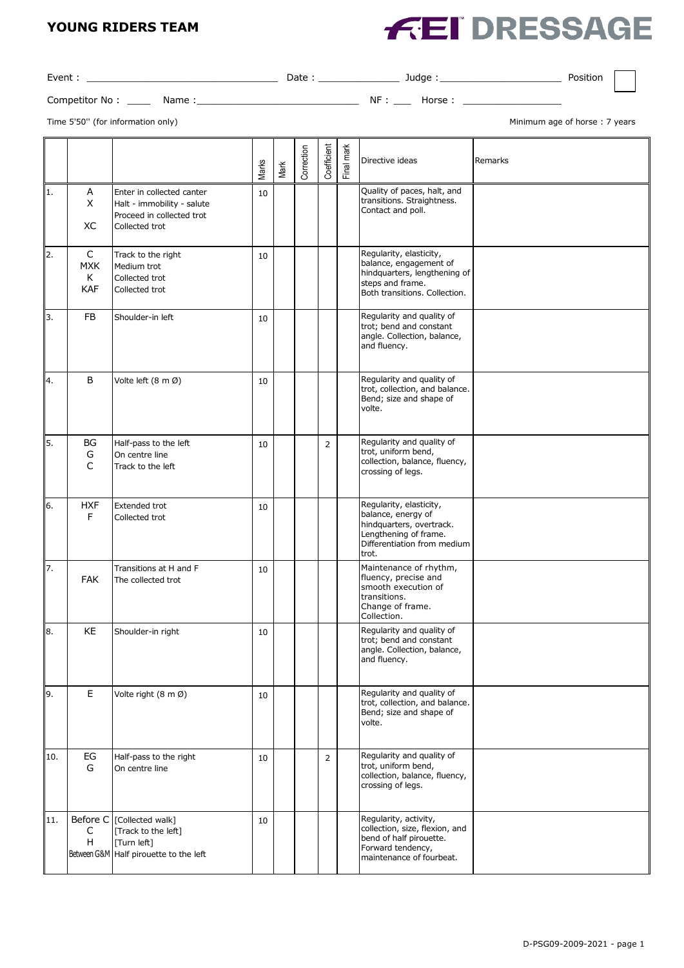#### **YOUNG RIDERS TEAM**

# **FEI DRESSAGE**

| Event:         |       | Date | Judge  | Position |  |
|----------------|-------|------|--------|----------|--|
| Competitor No: | Name: | NF   | Horse: |          |  |

Time 5'50" (for information only) and the state of the state of the state of the state of the state of the state of the state of the state of the state of the state of the state of the state of the state of the state of th

|     |                                    |                                                                                                        | Marks | Mark | Correction | Coefficient    | Final mark | Directive ideas                                                                                                                            | Remarks |
|-----|------------------------------------|--------------------------------------------------------------------------------------------------------|-------|------|------------|----------------|------------|--------------------------------------------------------------------------------------------------------------------------------------------|---------|
| 11. | A<br>X<br>ХC                       | Enter in collected canter<br>Halt - immobility - salute<br>Proceed in collected trot<br>Collected trot | 10    |      |            |                |            | Quality of paces, halt, and<br>transitions. Straightness.<br>Contact and poll.                                                             |         |
| 12. | C<br><b>MXK</b><br>K<br><b>KAF</b> | Track to the right<br>Medium trot<br>Collected trot<br>Collected trot                                  | 10    |      |            |                |            | Regularity, elasticity,<br>balance, engagement of<br>hindquarters, lengthening of<br>steps and frame.<br>Both transitions. Collection.     |         |
| 3.  | <b>FB</b>                          | Shoulder-in left                                                                                       | 10    |      |            |                |            | Regularity and quality of<br>trot; bend and constant<br>angle. Collection, balance,<br>and fluency.                                        |         |
| 14. | B                                  | Volte left (8 m Ø)                                                                                     | 10    |      |            |                |            | Regularity and quality of<br>trot, collection, and balance.<br>Bend; size and shape of<br>volte.                                           |         |
| l5. | BG<br>G<br>C                       | Half-pass to the left<br>On centre line<br>Track to the left                                           | 10    |      |            | $\overline{2}$ |            | Regularity and quality of<br>trot, uniform bend,<br>collection, balance, fluency,<br>crossing of legs.                                     |         |
| 16. | <b>HXF</b><br>F                    | Extended trot<br>Collected trot                                                                        | 10    |      |            |                |            | Regularity, elasticity,<br>balance, energy of<br>hindquarters, overtrack.<br>Lengthening of frame.<br>Differentiation from medium<br>trot. |         |
| 17. | <b>FAK</b>                         | Transitions at H and F<br>The collected trot                                                           | 10    |      |            |                |            | Maintenance of rhythm,<br>fluency, precise and<br>smooth execution of<br>transitions.<br>Change of frame.<br>Collection.                   |         |
| l8. | KE                                 | Shoulder-in right                                                                                      | 10    |      |            |                |            | Regularity and quality of<br>trot; bend and constant<br>angle. Collection, balance,<br>and fluency.                                        |         |
| 19. | $\mathsf E$                        | Volte right (8 m Ø)                                                                                    | 10    |      |            |                |            | Regularity and quality of<br>trot, collection, and balance.<br>Bend; size and shape of<br>volte.                                           |         |
| 10. | EG<br>G                            | Half-pass to the right<br>On centre line                                                               | 10    |      |            | $\overline{2}$ |            | Regularity and quality of<br>trot, uniform bend,<br>collection, balance, fluency,<br>crossing of legs.                                     |         |
| 11. | Before C<br>C<br>H                 | [Collected walk]<br>[Track to the left]<br>[Turn left]<br>Between G&M Half pirouette to the left       | 10    |      |            |                |            | Regularity, activity,<br>collection, size, flexion, and<br>bend of half pirouette.<br>Forward tendency,<br>maintenance of fourbeat.        |         |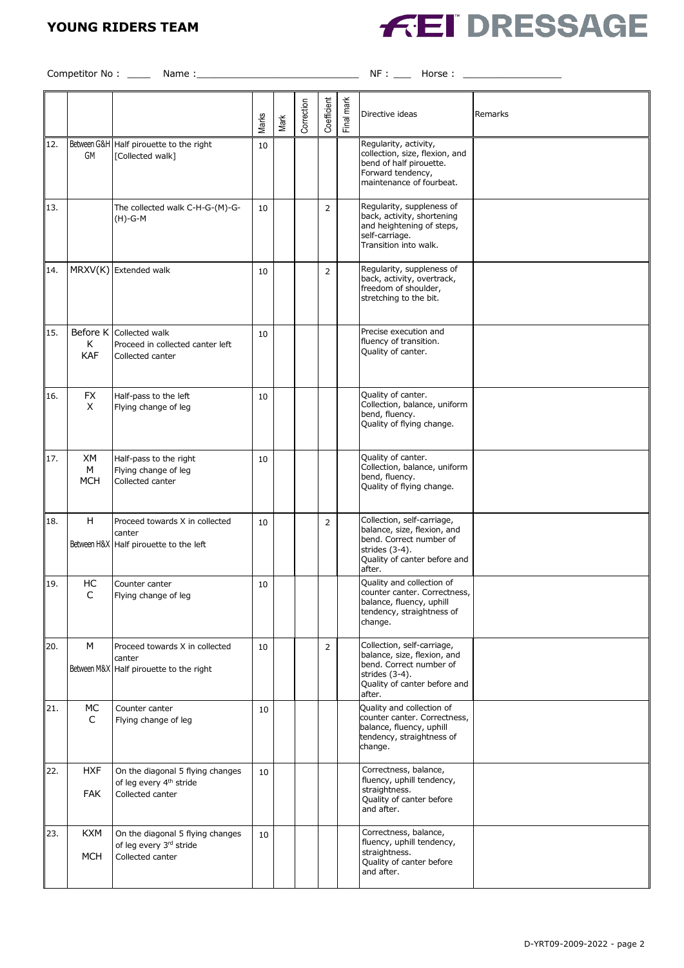## **YOUNG RIDERS TEAM**



Competitor No : \_\_\_\_ Name :\_\_\_\_\_\_\_\_\_\_\_\_\_\_\_\_\_\_\_\_\_\_\_\_\_\_\_\_ NF : \_\_\_ Horse : \_\_\_\_\_\_\_\_\_\_\_\_\_\_\_\_\_

|     |                             |                                                                                             | Marks | Mark | Correction | Coefficient    | Final mark | Directive ideas                                                                                                                                  | Remarks |
|-----|-----------------------------|---------------------------------------------------------------------------------------------|-------|------|------------|----------------|------------|--------------------------------------------------------------------------------------------------------------------------------------------------|---------|
| 12. | GM                          | Between G&H HaIf pirouette to the right<br>[Collected walk]                                 | 10    |      |            |                |            | Regularity, activity,<br>collection, size, flexion, and<br>bend of half pirouette.<br>Forward tendency,<br>maintenance of fourbeat.              |         |
| 13. |                             | The collected walk C-H-G-(M)-G-<br>(H)-G-M                                                  | 10    |      |            | $\overline{2}$ |            | Regularity, suppleness of<br>back, activity, shortening<br>and heightening of steps,<br>self-carriage.<br>Transition into walk.                  |         |
| 14. |                             | MRXV(K) Extended walk                                                                       | 10    |      |            | $\overline{2}$ |            | Regularity, suppleness of<br>back, activity, overtrack,<br>freedom of shoulder,<br>stretching to the bit.                                        |         |
| 15. | Before K<br>К<br><b>KAF</b> | Collected walk<br>Proceed in collected canter left<br>Collected canter                      | 10    |      |            |                |            | Precise execution and<br>fluency of transition.<br>Quality of canter.                                                                            |         |
| 16. | <b>FX</b><br>X              | Half-pass to the left<br>Flying change of leg                                               | 10    |      |            |                |            | Quality of canter.<br>Collection, balance, uniform<br>bend, fluency.<br>Quality of flying change.                                                |         |
| 17. | XМ<br>M<br><b>MCH</b>       | Half-pass to the right<br>Flying change of leg<br>Collected canter                          | 10    |      |            |                |            | Quality of canter.<br>Collection, balance, uniform<br>bend, fluency.<br>Quality of flying change.                                                |         |
| 18. | H                           | Proceed towards X in collected<br>canter<br>Between H&X Half pirouette to the left          | 10    |      |            | $\overline{2}$ |            | Collection, self-carriage,<br>balance, size, flexion, and<br>bend. Correct number of<br>strides (3-4).<br>Quality of canter before and<br>after. |         |
| 19. | HC<br>C                     | Counter canter<br>Flying change of leg                                                      | 10    |      |            |                |            | Quality and collection of<br>counter canter. Correctness,<br>balance, fluency, uphill<br>tendency, straightness of<br>change.                    |         |
| 20. | M                           | Proceed towards X in collected<br>canter<br>Between M&X Half pirouette to the right         | 10    |      |            | 2              |            | Collection, self-carriage,<br>balance, size, flexion, and<br>bend. Correct number of<br>strides (3-4).<br>Quality of canter before and<br>after. |         |
| 21. | MC<br>C                     | Counter canter<br>Flying change of leg                                                      | 10    |      |            |                |            | Quality and collection of<br>counter canter. Correctness,<br>balance, fluency, uphill<br>tendency, straightness of<br>change.                    |         |
| 22. | HXF<br><b>FAK</b>           | On the diagonal 5 flying changes<br>of leg every 4 <sup>th</sup> stride<br>Collected canter | 10    |      |            |                |            | Correctness, balance,<br>fluency, uphill tendency,<br>straightness.<br>Quality of canter before<br>and after.                                    |         |
| 23. | <b>KXM</b><br><b>MCH</b>    | On the diagonal 5 flying changes<br>of leg every 3rd stride<br>Collected canter             | 10    |      |            |                |            | Correctness, balance,<br>fluency, uphill tendency,<br>straightness.<br>Quality of canter before<br>and after.                                    |         |